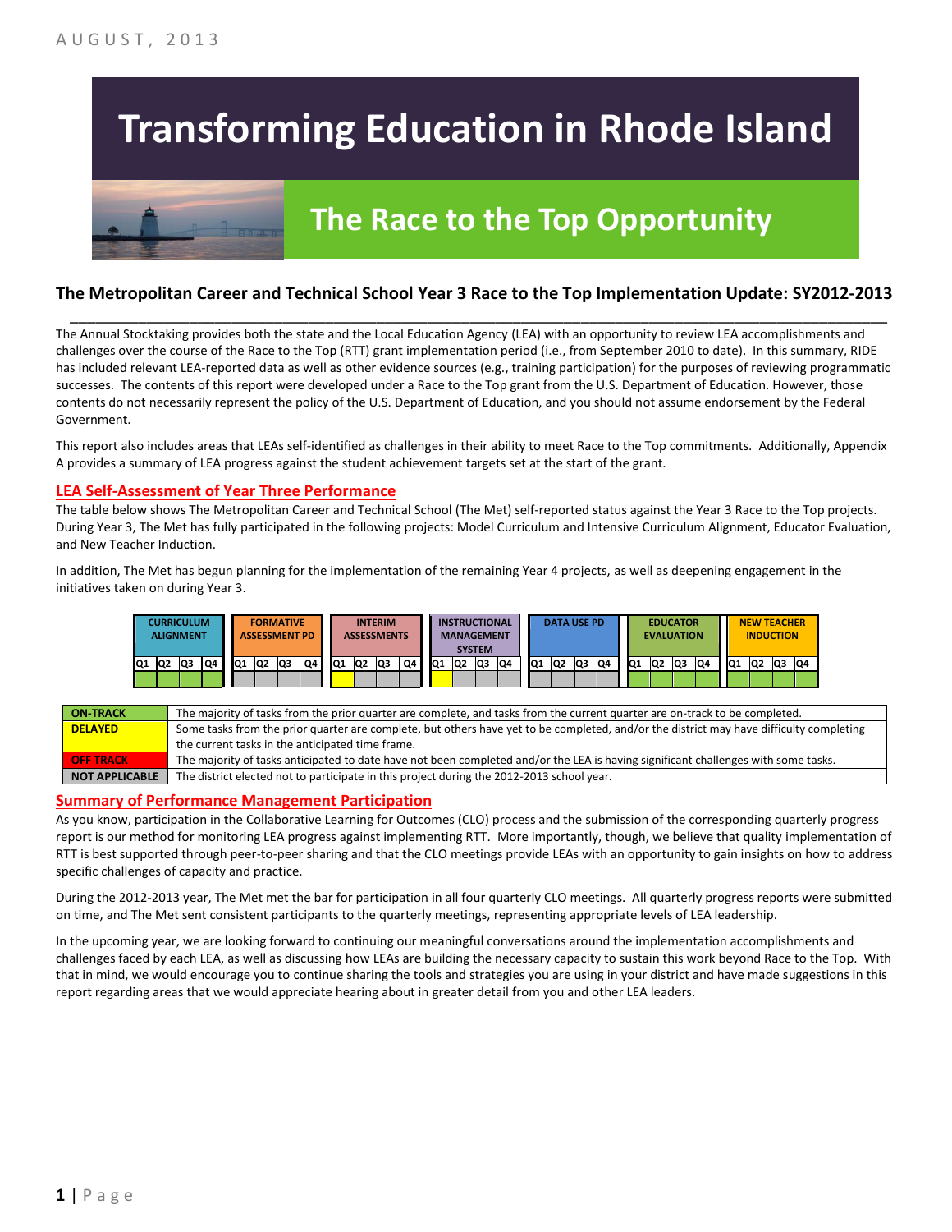# **Transforming Education in Rhode Island**

## **The Race to the Top Opportunity**

#### **The Metropolitan Career and Technical School Year 3 Race to the Top Implementation Update: SY2012-2013** \_\_\_\_\_\_\_\_\_\_\_\_\_\_\_\_\_\_\_\_\_\_\_\_\_\_\_\_\_\_\_\_\_\_\_\_\_\_\_\_\_\_\_\_\_\_\_\_\_\_\_\_\_\_\_\_\_\_\_\_\_\_\_\_\_\_\_\_\_\_\_\_\_\_\_\_\_\_\_\_\_\_\_\_\_\_\_\_\_\_\_\_\_\_\_\_

The Annual Stocktaking provides both the state and the Local Education Agency (LEA) with an opportunity to review LEA accomplishments and challenges over the course of the Race to the Top (RTT) grant implementation period (i.e., from September 2010 to date). In this summary, RIDE has included relevant LEA-reported data as well as other evidence sources (e.g., training participation) for the purposes of reviewing programmatic successes. The contents of this report were developed under a Race to the Top grant from the U.S. Department of Education. However, those contents do not necessarily represent the policy of the U.S. Department of Education, and you should not assume endorsement by the Federal Government.

This report also includes areas that LEAs self-identified as challenges in their ability to meet Race to the Top commitments. Additionally, Appendix A provides a summary of LEA progress against the student achievement targets set at the start of the grant.

#### **LEA Self-Assessment of Year Three Performance**

The table below shows The Metropolitan Career and Technical School (The Met) self-reported status against the Year 3 Race to the Top projects. During Year 3, The Met has fully participated in the following projects: Model Curriculum and Intensive Curriculum Alignment, Educator Evaluation, and New Teacher Induction.

In addition, The Met has begun planning for the implementation of the remaining Year 4 projects, as well as deepening engagement in the initiatives taken on during Year 3.



| <b>ON-TRACK</b>  | The majority of tasks from the prior quarter are complete, and tasks from the current quarter are on-track to be completed.             |
|------------------|-----------------------------------------------------------------------------------------------------------------------------------------|
| <b>DELAYED</b>   | Some tasks from the prior quarter are complete, but others have yet to be completed, and/or the district may have difficulty completing |
|                  | the current tasks in the anticipated time frame.                                                                                        |
| <b>OFF TRACK</b> | The majority of tasks anticipated to date have not been completed and/or the LEA is having significant challenges with some tasks.      |
| NOT APPLICABLE   | The district elected not to participate in this project during the 2012-2013 school year.                                               |

#### **Summary of Performance Management Participation**

As you know, participation in the Collaborative Learning for Outcomes (CLO) process and the submission of the corresponding quarterly progress report is our method for monitoring LEA progress against implementing RTT. More importantly, though, we believe that quality implementation of RTT is best supported through peer-to-peer sharing and that the CLO meetings provide LEAs with an opportunity to gain insights on how to address specific challenges of capacity and practice.

During the 2012-2013 year, The Met met the bar for participation in all four quarterly CLO meetings. All quarterly progress reports were submitted on time, and The Met sent consistent participants to the quarterly meetings, representing appropriate levels of LEA leadership.

In the upcoming year, we are looking forward to continuing our meaningful conversations around the implementation accomplishments and challenges faced by each LEA, as well as discussing how LEAs are building the necessary capacity to sustain this work beyond Race to the Top. With that in mind, we would encourage you to continue sharing the tools and strategies you are using in your district and have made suggestions in this report regarding areas that we would appreciate hearing about in greater detail from you and other LEA leaders.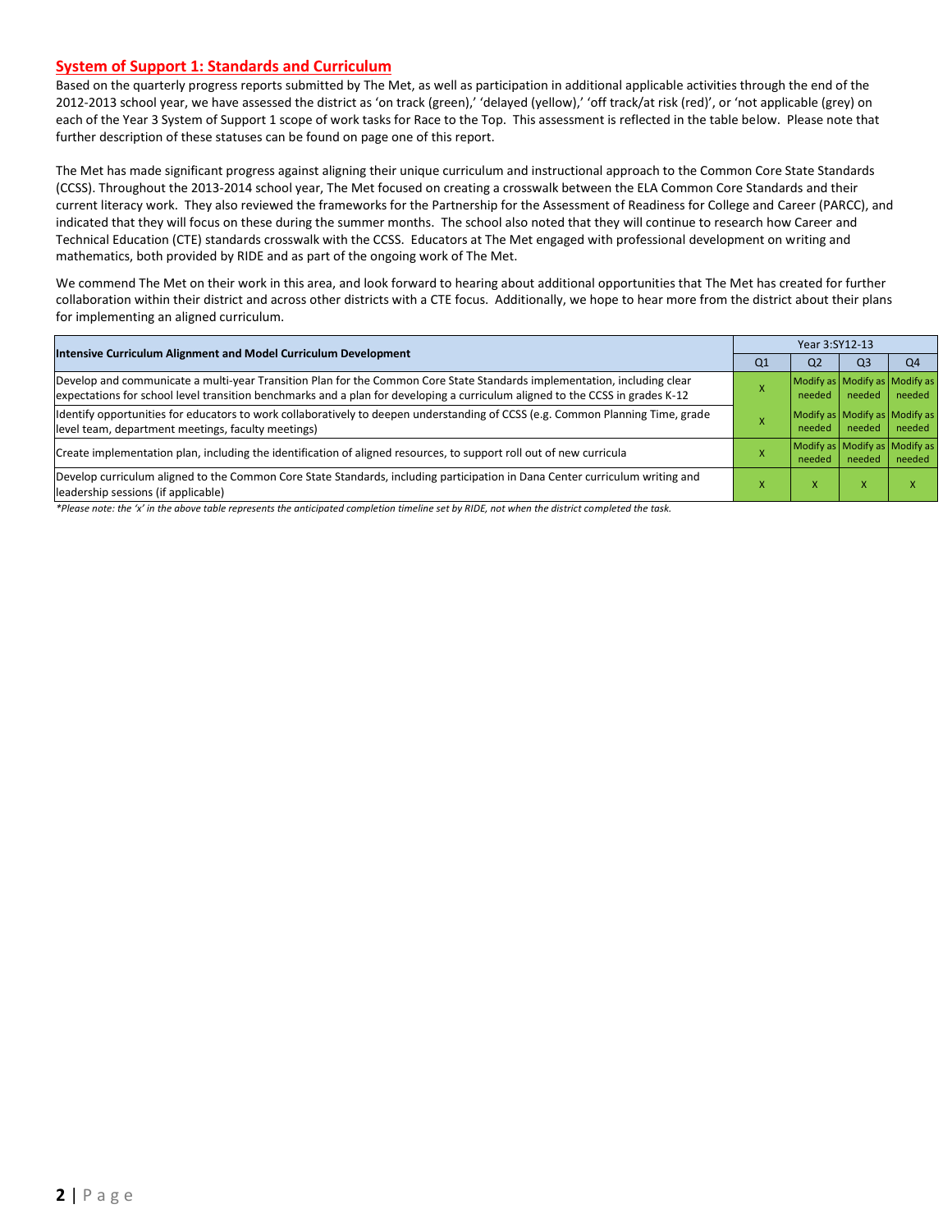#### **System of Support 1: Standards and Curriculum**

Based on the quarterly progress reports submitted by The Met, as well as participation in additional applicable activities through the end of the 2012-2013 school year, we have assessed the district as 'on track (green),' 'delayed (yellow),' 'off track/at risk (red)', or 'not applicable (grey) on each of the Year 3 System of Support 1 scope of work tasks for Race to the Top. This assessment is reflected in the table below. Please note that further description of these statuses can be found on page one of this report.

The Met has made significant progress against aligning their unique curriculum and instructional approach to the Common Core State Standards (CCSS). Throughout the 2013-2014 school year, The Met focused on creating a crosswalk between the ELA Common Core Standards and their current literacy work. They also reviewed the frameworks for the Partnership for the Assessment of Readiness for College and Career (PARCC), and indicated that they will focus on these during the summer months. The school also noted that they will continue to research how Career and Technical Education (CTE) standards crosswalk with the CCSS. Educators at The Met engaged with professional development on writing and mathematics, both provided by RIDE and as part of the ongoing work of The Met.

We commend The Met on their work in this area, and look forward to hearing about additional opportunities that The Met has created for further collaboration within their district and across other districts with a CTE focus. Additionally, we hope to hear more from the district about their plans for implementing an aligned curriculum.

|                                                                                                                                                                                                                                                           |                | Year 3:SY12-13                          |                |                                         |  |  |  |
|-----------------------------------------------------------------------------------------------------------------------------------------------------------------------------------------------------------------------------------------------------------|----------------|-----------------------------------------|----------------|-----------------------------------------|--|--|--|
| Intensive Curriculum Alignment and Model Curriculum Development                                                                                                                                                                                           | Q <sub>1</sub> | Q <sub>2</sub>                          | Q <sub>3</sub> | Q <sub>4</sub>                          |  |  |  |
| Develop and communicate a multi-year Transition Plan for the Common Core State Standards implementation, including clear<br>expectations for school level transition benchmarks and a plan for developing a curriculum aligned to the CCSS in grades K-12 |                | needed                                  | needed         | Modify as Modify as Modify as<br>needed |  |  |  |
| Identify opportunities for educators to work collaboratively to deepen understanding of CCSS (e.g. Common Planning Time, grade<br>level team, department meetings, faculty meetings)                                                                      |                | Modify as Modify as Modify as<br>needed | needed         | needed                                  |  |  |  |
| Create implementation plan, including the identification of aligned resources, to support roll out of new curricula                                                                                                                                       |                | needed                                  | needed         | Modify as Modify as Modify as<br>needed |  |  |  |
| Develop curriculum aligned to the Common Core State Standards, including participation in Dana Center curriculum writing and<br>leadership sessions (if applicable)                                                                                       |                | ж                                       | x              |                                         |  |  |  |

*\*Please note: the 'x' in the above table represents the anticipated completion timeline set by RIDE, not when the district completed the task.*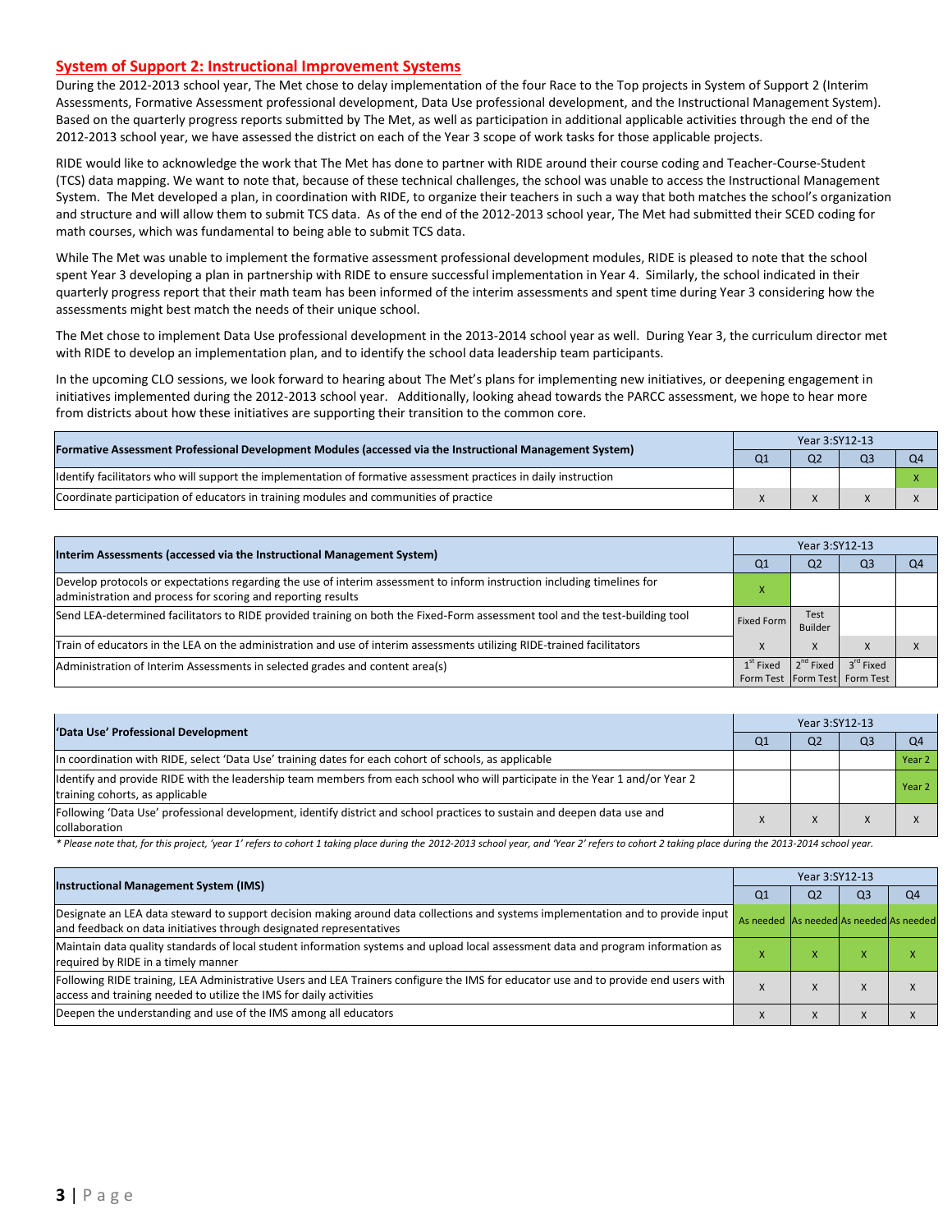#### **System of Support 2: Instructional Improvement Systems**

During the 2012-2013 school year, The Met chose to delay implementation of the four Race to the Top projects in System of Support 2 (Interim Assessments, Formative Assessment professional development, Data Use professional development, and the Instructional Management System). Based on the quarterly progress reports submitted by The Met, as well as participation in additional applicable activities through the end of the 2012-2013 school year, we have assessed the district on each of the Year 3 scope of work tasks for those applicable projects.

RIDE would like to acknowledge the work that The Met has done to partner with RIDE around their course coding and Teacher-Course-Student (TCS) data mapping. We want to note that, because of these technical challenges, the school was unable to access the Instructional Management System. The Met developed a plan, in coordination with RIDE, to organize their teachers in such a way that both matches the school's organization and structure and will allow them to submit TCS data. As of the end of the 2012-2013 school year, The Met had submitted their SCED coding for math courses, which was fundamental to being able to submit TCS data.

While The Met was unable to implement the formative assessment professional development modules, RIDE is pleased to note that the school spent Year 3 developing a plan in partnership with RIDE to ensure successful implementation in Year 4. Similarly, the school indicated in their quarterly progress report that their math team has been informed of the interim assessments and spent time during Year 3 considering how the assessments might best match the needs of their unique school.

The Met chose to implement Data Use professional development in the 2013-2014 school year as well. During Year 3, the curriculum director met with RIDE to develop an implementation plan, and to identify the school data leadership team participants.

In the upcoming CLO sessions, we look forward to hearing about The Met's plans for implementing new initiatives, or deepening engagement in initiatives implemented during the 2012-2013 school year. Additionally, looking ahead towards the PARCC assessment, we hope to hear more from districts about how these initiatives are supporting their transition to the common core.

| [Formative Assessment Professional Development Modules (accessed via the Instructional Management System)         |  | Year 3:SY12-13 |  |    |  |  |  |
|-------------------------------------------------------------------------------------------------------------------|--|----------------|--|----|--|--|--|
|                                                                                                                   |  | Q <sub>2</sub> |  | ገ4 |  |  |  |
| Ildentify facilitators who will support the implementation of formative assessment practices in daily instruction |  |                |  |    |  |  |  |
| Coordinate participation of educators in training modules and communities of practice                             |  |                |  |    |  |  |  |

| Interim Assessments (accessed via the Instructional Management System)                                                                                                                  |                | Year 3:SY12-13         |                                                            |                |  |  |
|-----------------------------------------------------------------------------------------------------------------------------------------------------------------------------------------|----------------|------------------------|------------------------------------------------------------|----------------|--|--|
|                                                                                                                                                                                         | Q <sub>1</sub> | Q <sub>2</sub>         | Q <sub>3</sub>                                             | Q <sub>4</sub> |  |  |
| Develop protocols or expectations regarding the use of interim assessment to inform instruction including timelines for<br>administration and process for scoring and reporting results |                |                        |                                                            |                |  |  |
| Send LEA-determined facilitators to RIDE provided training on both the Fixed-Form assessment tool and the test-building tool                                                            | Fixed Form     | <b>Test</b><br>Builder |                                                            |                |  |  |
| Train of educators in the LEA on the administration and use of interim assessments utilizing RIDE-trained facilitators                                                                  |                | X                      | $\lambda$                                                  |                |  |  |
| Administration of Interim Assessments in selected grades and content area(s)                                                                                                            | $1st$ Fixed    | $2^{nd}$ Fixed         | 3 <sup>rd</sup> Fixed<br>Form Test   Form Test   Form Test |                |  |  |

| 'Data Use' Professional Development                                                                                                                              |  | Year 3:SY12-13 |                |                |  |  |  |
|------------------------------------------------------------------------------------------------------------------------------------------------------------------|--|----------------|----------------|----------------|--|--|--|
|                                                                                                                                                                  |  | Q <sub>2</sub> | Q <sub>3</sub> | Q <sub>4</sub> |  |  |  |
| In coordination with RIDE, select 'Data Use' training dates for each cohort of schools, as applicable                                                            |  |                |                | Year 2         |  |  |  |
| Ildentify and provide RIDE with the leadership team members from each school who will participate in the Year 1 and/or Year 2<br>training cohorts, as applicable |  |                |                | Year 2         |  |  |  |
| Following 'Data Use' professional development, identify district and school practices to sustain and deepen data use and<br>collaboration                        |  |                |                |                |  |  |  |

\* Please note that, for this project, 'year 1' refers to cohort 1 taking place during the 2012-2013 school year, and 'Year 2' refers to cohort 2 taking place during the 2013-2014 school year.

| <b>Instructional Management System (IMS)</b>                                                                                                                                                              |    | Year 3:SY12-13                          |           |    |  |  |  |
|-----------------------------------------------------------------------------------------------------------------------------------------------------------------------------------------------------------|----|-----------------------------------------|-----------|----|--|--|--|
|                                                                                                                                                                                                           | Q1 | Q <sub>2</sub>                          | Q3        | Q4 |  |  |  |
| Designate an LEA data steward to support decision making around data collections and systems implementation and to provide input<br>and feedback on data initiatives through designated representatives   |    | As needed As needed As needed As needed |           |    |  |  |  |
| Maintain data quality standards of local student information systems and upload local assessment data and program information as<br>required by RIDE in a timely manner                                   |    | ⋏                                       | $\lambda$ |    |  |  |  |
| Following RIDE training, LEA Administrative Users and LEA Trainers configure the IMS for educator use and to provide end users with<br>access and training needed to utilize the IMS for daily activities |    |                                         | $\lambda$ |    |  |  |  |
| Deepen the understanding and use of the IMS among all educators                                                                                                                                           |    |                                         | $\lambda$ |    |  |  |  |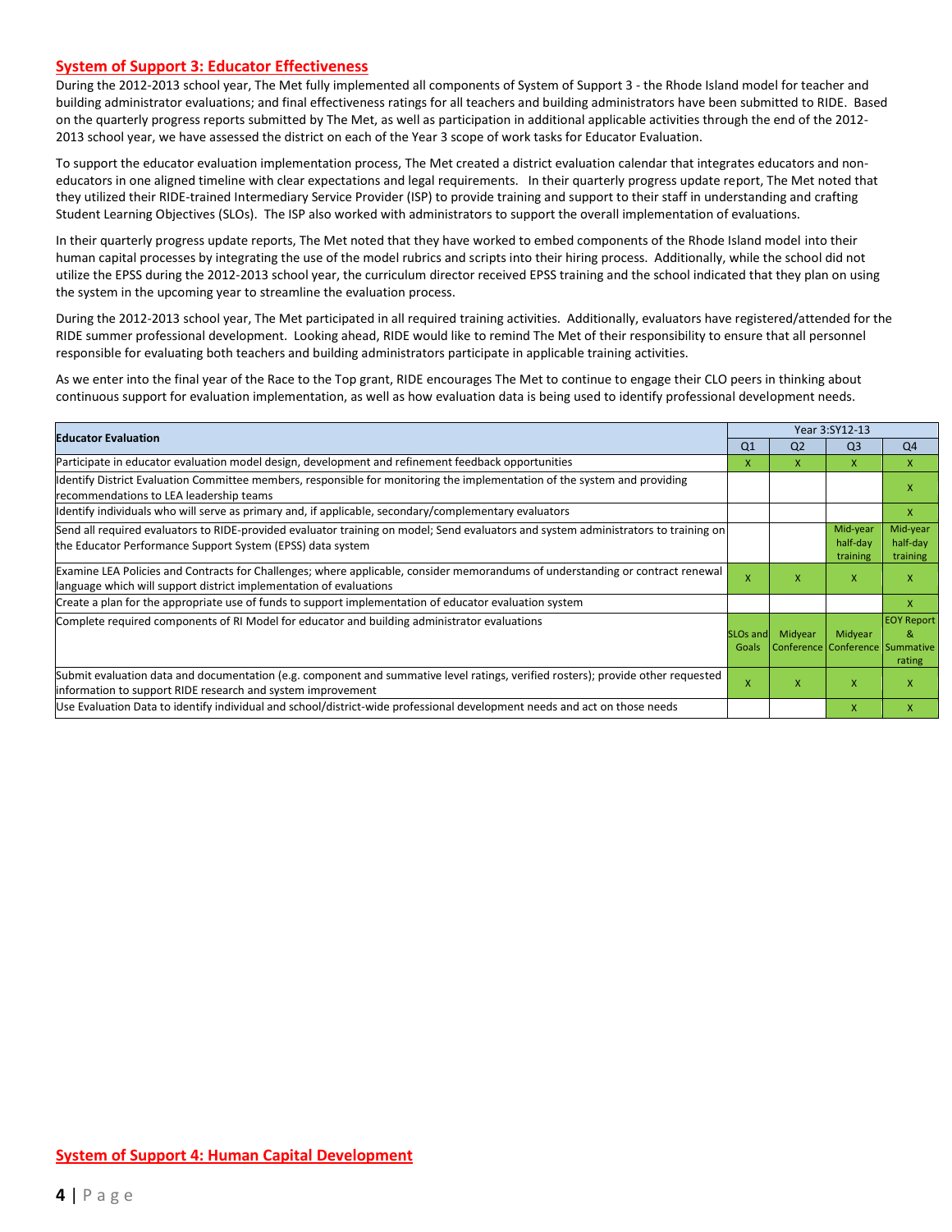#### **System of Support 3: Educator Effectiveness**

During the 2012-2013 school year, The Met fully implemented all components of System of Support 3 - the Rhode Island model for teacher and building administrator evaluations; and final effectiveness ratings for all teachers and building administrators have been submitted to RIDE. Based on the quarterly progress reports submitted by The Met, as well as participation in additional applicable activities through the end of the 2012- 2013 school year, we have assessed the district on each of the Year 3 scope of work tasks for Educator Evaluation.

To support the educator evaluation implementation process, The Met created a district evaluation calendar that integrates educators and noneducators in one aligned timeline with clear expectations and legal requirements. In their quarterly progress update report, The Met noted that they utilized their RIDE-trained Intermediary Service Provider (ISP) to provide training and support to their staff in understanding and crafting Student Learning Objectives (SLOs). The ISP also worked with administrators to support the overall implementation of evaluations.

In their quarterly progress update reports, The Met noted that they have worked to embed components of the Rhode Island model into their human capital processes by integrating the use of the model rubrics and scripts into their hiring process. Additionally, while the school did not utilize the EPSS during the 2012-2013 school year, the curriculum director received EPSS training and the school indicated that they plan on using the system in the upcoming year to streamline the evaluation process.

During the 2012-2013 school year, The Met participated in all required training activities. Additionally, evaluators have registered/attended for the RIDE summer professional development. Looking ahead, RIDE would like to remind The Met of their responsibility to ensure that all personnel responsible for evaluating both teachers and building administrators participate in applicable training activities.

As we enter into the final year of the Race to the Top grant, RIDE encourages The Met to continue to engage their CLO peers in thinking about continuous support for evaluation implementation, as well as how evaluation data is being used to identify professional development needs.

|                                                                                                                                                                                                      |                   | Year 3:SY12-13                             |                                  |                                  |  |  |
|------------------------------------------------------------------------------------------------------------------------------------------------------------------------------------------------------|-------------------|--------------------------------------------|----------------------------------|----------------------------------|--|--|
| <b>Educator Evaluation</b>                                                                                                                                                                           | Q <sub>1</sub>    | Q <sub>2</sub>                             | Q <sub>3</sub>                   | Q <sub>4</sub>                   |  |  |
| Participate in educator evaluation model design, development and refinement feedback opportunities                                                                                                   | x                 | X                                          | $\mathsf{X}$                     | $\mathsf{X}$                     |  |  |
| Identify District Evaluation Committee members, responsible for monitoring the implementation of the system and providing<br>recommendations to LEA leadership teams                                 |                   |                                            |                                  | $\mathsf{x}$                     |  |  |
| ldentify individuals who will serve as primary and, if applicable, secondary/complementary evaluators                                                                                                |                   |                                            |                                  | X                                |  |  |
| Send all required evaluators to RIDE-provided evaluator training on model; Send evaluators and system administrators to training on<br>the Educator Performance Support System (EPSS) data system    |                   |                                            | Mid-year<br>half-day<br>training | Mid-year<br>half-day<br>training |  |  |
| Examine LEA Policies and Contracts for Challenges; where applicable, consider memorandums of understanding or contract renewal<br>language which will support district implementation of evaluations |                   | X                                          | X                                | X                                |  |  |
| Create a plan for the appropriate use of funds to support implementation of educator evaluation system                                                                                               |                   |                                            |                                  | X                                |  |  |
| Complete required components of RI Model for educator and building administrator evaluations                                                                                                         | SLOs and<br>Goals | Midyear<br>Conference Conference Summative | Midyear                          | <b>EOY Report</b><br>&<br>rating |  |  |
| Submit evaluation data and documentation (e.g. component and summative level ratings, verified rosters); provide other requested<br>information to support RIDE research and system improvement      | X                 | x                                          | X                                | $\mathsf{x}$                     |  |  |
| Use Evaluation Data to identify individual and school/district-wide professional development needs and act on those needs                                                                            |                   |                                            | $\mathsf{x}$                     | $\mathsf{x}$                     |  |  |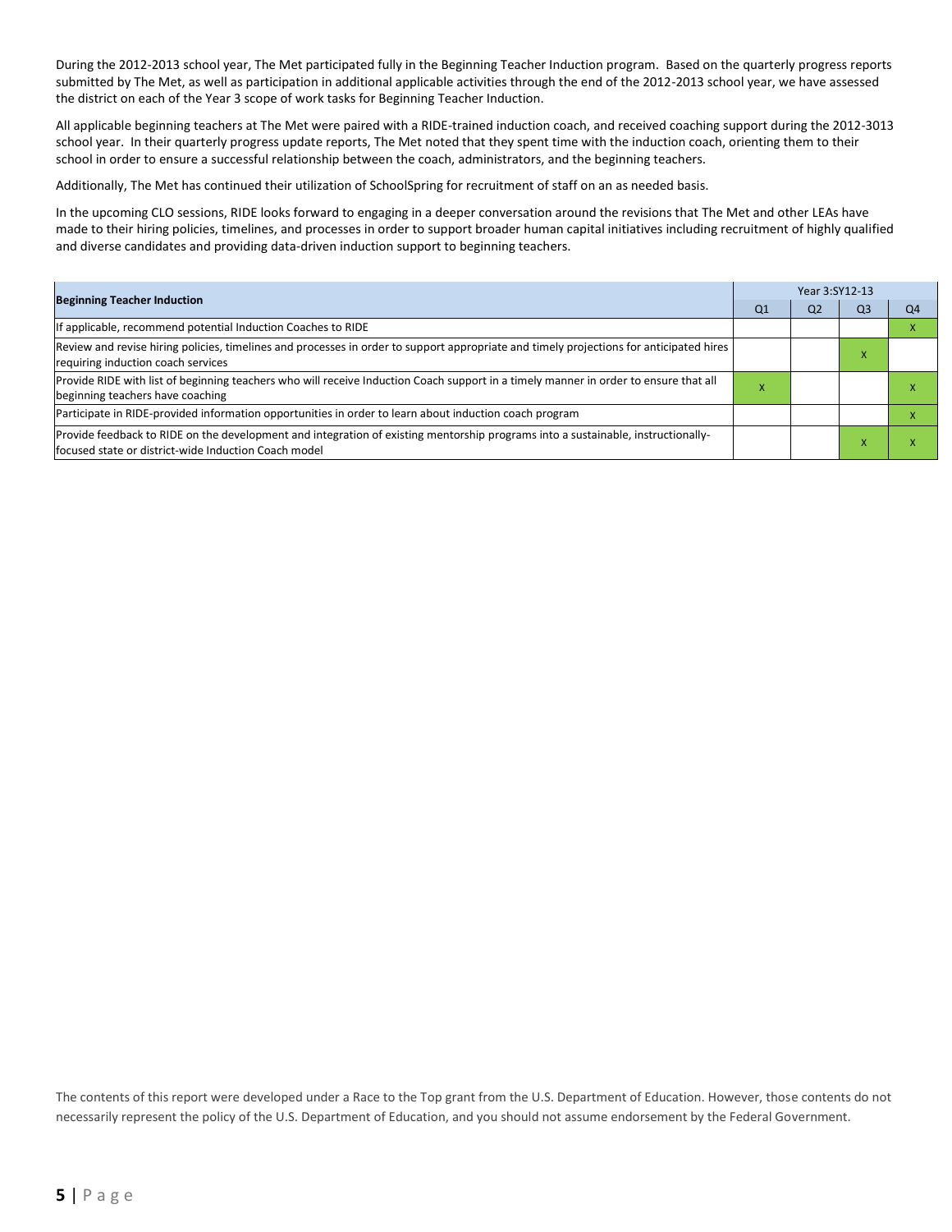During the 2012-2013 school year, The Met participated fully in the Beginning Teacher Induction program. Based on the quarterly progress reports submitted by The Met, as well as participation in additional applicable activities through the end of the 2012-2013 school year, we have assessed the district on each of the Year 3 scope of work tasks for Beginning Teacher Induction.

All applicable beginning teachers at The Met were paired with a RIDE-trained induction coach, and received coaching support during the 2012-3013 school year. In their quarterly progress update reports, The Met noted that they spent time with the induction coach, orienting them to their school in order to ensure a successful relationship between the coach, administrators, and the beginning teachers.

Additionally, The Met has continued their utilization of SchoolSpring for recruitment of staff on an as needed basis.

In the upcoming CLO sessions, RIDE looks forward to engaging in a deeper conversation around the revisions that The Met and other LEAs have made to their hiring policies, timelines, and processes in order to support broader human capital initiatives including recruitment of highly qualified and diverse candidates and providing data-driven induction support to beginning teachers.

| <b>Beginning Teacher Induction</b>                                                                                                                                                       |           | Year 3:SY12-13 |                |    |  |  |  |
|------------------------------------------------------------------------------------------------------------------------------------------------------------------------------------------|-----------|----------------|----------------|----|--|--|--|
|                                                                                                                                                                                          |           |                | Q <sub>3</sub> | Q4 |  |  |  |
| If applicable, recommend potential Induction Coaches to RIDE                                                                                                                             |           |                |                |    |  |  |  |
| Review and revise hiring policies, timelines and processes in order to support appropriate and timely projections for anticipated hires<br>requiring induction coach services            |           |                |                |    |  |  |  |
| Provide RIDE with list of beginning teachers who will receive Induction Coach support in a timely manner in order to ensure that all<br>beginning teachers have coaching                 | $\lambda$ |                |                |    |  |  |  |
| Participate in RIDE-provided information opportunities in order to learn about induction coach program                                                                                   |           |                |                |    |  |  |  |
| Provide feedback to RIDE on the development and integration of existing mentorship programs into a sustainable, instructionally-<br>focused state or district-wide Induction Coach model |           |                |                |    |  |  |  |

The contents of this report were developed under a Race to the Top grant from the U.S. Department of Education. However, those contents do not necessarily represent the policy of the U.S. Department of Education, and you should not assume endorsement by the Federal Government.